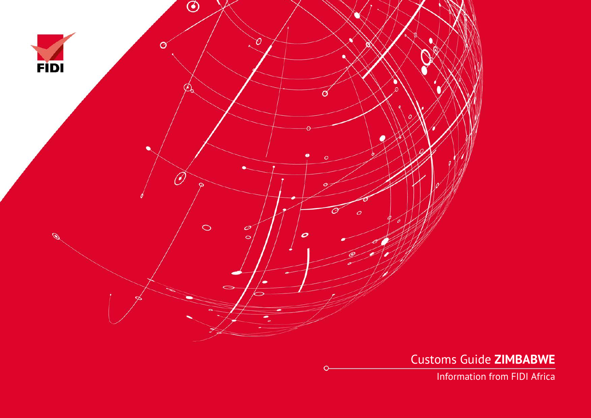

Customs Guide **ZIMBABWE**

Information from FIDI Africa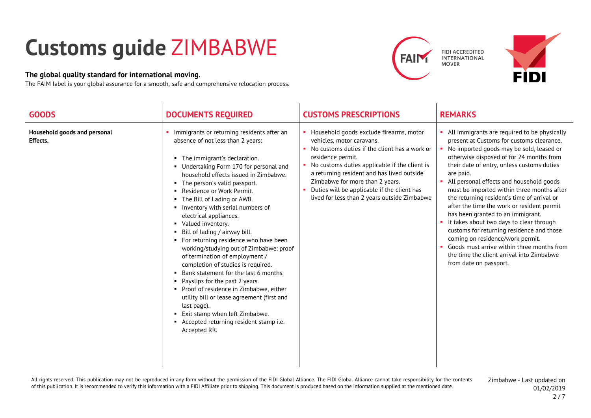## **Customs guide** ZIMBABWE

## **The global quality standard for international moving.**

The FAIM label is your global assurance for a smooth, safe and comprehensive relocation process.







| <b>GOODS</b>                                    | <b>DOCUMENTS REQUIRED</b>                                                                                                                                                                                                                                                                                                                                                                                                                                                                                                                                                                                                                                                                                                                                                                                                                                                  | <b>CUSTOMS PRESCRIPTIONS</b>                                                                                                                                                                                                                                                                                                                                                        | <b>REMARKS</b>                                                                                                                                                                                                                                                                                                                                                                                                                                                                                                                                                                                                                                                                                                             |
|-------------------------------------------------|----------------------------------------------------------------------------------------------------------------------------------------------------------------------------------------------------------------------------------------------------------------------------------------------------------------------------------------------------------------------------------------------------------------------------------------------------------------------------------------------------------------------------------------------------------------------------------------------------------------------------------------------------------------------------------------------------------------------------------------------------------------------------------------------------------------------------------------------------------------------------|-------------------------------------------------------------------------------------------------------------------------------------------------------------------------------------------------------------------------------------------------------------------------------------------------------------------------------------------------------------------------------------|----------------------------------------------------------------------------------------------------------------------------------------------------------------------------------------------------------------------------------------------------------------------------------------------------------------------------------------------------------------------------------------------------------------------------------------------------------------------------------------------------------------------------------------------------------------------------------------------------------------------------------------------------------------------------------------------------------------------------|
| Household goods and personal<br><b>Effects.</b> | Immigrants or returning residents after an<br>absence of not less than 2 years:<br>The immigrant's declaration.<br>Undertaking Form 170 for personal and<br>household effects issued in Zimbabwe.<br>The person's valid passport.<br>Residence or Work Permit.<br>• The Bill of Lading or AWB.<br>Inventory with serial numbers of<br>electrical appliances.<br>• Valued inventory.<br>• Bill of lading / airway bill.<br>• For returning residence who have been<br>working/studying out of Zimbabwe: proof<br>of termination of employment /<br>completion of studies is required.<br>• Bank statement for the last 6 months.<br>• Payslips for the past 2 years.<br>• Proof of residence in Zimbabwe, either<br>utility bill or lease agreement (first and<br>last page).<br>■ Exit stamp when left Zimbabwe.<br>Accepted returning resident stamp i.e.<br>Accepted RR. | • Household goods exclude firearms, motor<br>vehicles, motor caravans.<br>• No customs duties if the client has a work or<br>residence permit.<br>• No customs duties applicable if the client is<br>a returning resident and has lived outside<br>Zimbabwe for more than 2 years.<br>• Duties will be applicable if the client has<br>lived for less than 2 years outside Zimbabwe | All immigrants are required to be physically<br>present at Customs for customs clearance.<br>No imported goods may be sold, leased or<br>otherwise disposed of for 24 months from<br>their date of entry, unless customs duties<br>are paid.<br>All personal effects and household goods<br>must be imported within three months after<br>the returning resident's time of arrival or<br>after the time the work or resident permit<br>has been granted to an immigrant.<br>It takes about two days to clear through<br>customs for returning residence and those<br>coming on residence/work permit.<br>Goods must arrive within three months from<br>the time the client arrival into Zimbabwe<br>from date on passport. |

All rights reserved. This publication may not be reproduced in any form without the permission of the FIDI Global Alliance. The FIDI Global Alliance cannot take responsibility for the contents of this publication. It is recommended to verify this information with a FIDI Affiliate prior to shipping. This document is produced based on the information supplied at the mentioned date.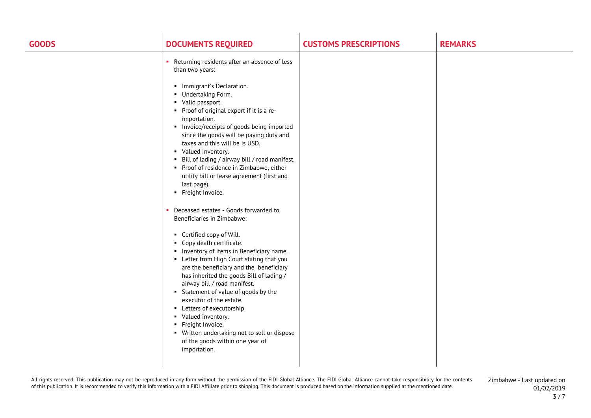| <b>GOODS</b> | <b>DOCUMENTS REQUIRED</b>                                                                                                                                                                                                                                                                                                                                                                                                                                                                                                                                                                                                                                                                                                                                                                                                                                                                                                                                                                                                                                                                                                                  | <b>CUSTOMS PRESCRIPTIONS</b> | <b>REMARKS</b> |
|--------------|--------------------------------------------------------------------------------------------------------------------------------------------------------------------------------------------------------------------------------------------------------------------------------------------------------------------------------------------------------------------------------------------------------------------------------------------------------------------------------------------------------------------------------------------------------------------------------------------------------------------------------------------------------------------------------------------------------------------------------------------------------------------------------------------------------------------------------------------------------------------------------------------------------------------------------------------------------------------------------------------------------------------------------------------------------------------------------------------------------------------------------------------|------------------------------|----------------|
|              | Returning residents after an absence of less<br>×.<br>than two years:<br>• Immigrant's Declaration.<br>Undertaking Form.<br>• Valid passport.<br>• Proof of original export if it is a re-<br>importation.<br>Invoice/receipts of goods being imported<br>since the goods will be paying duty and<br>taxes and this will be is USD.<br>• Valued Inventory.<br>• Bill of lading / airway bill / road manifest.<br>• Proof of residence in Zimbabwe, either<br>utility bill or lease agreement (first and<br>last page).<br>• Freight Invoice.<br>Deceased estates - Goods forwarded to<br>Beneficiaries in Zimbabwe:<br>• Certified copy of Will.<br>• Copy death certificate.<br>Inventory of items in Beneficiary name.<br>• Letter from High Court stating that you<br>are the beneficiary and the beneficiary<br>has inherited the goods Bill of lading /<br>airway bill / road manifest.<br>Statement of value of goods by the<br>executor of the estate.<br>• Letters of executorship<br>• Valued inventory.<br>• Freight Invoice.<br>• Written undertaking not to sell or dispose<br>of the goods within one year of<br>importation. |                              |                |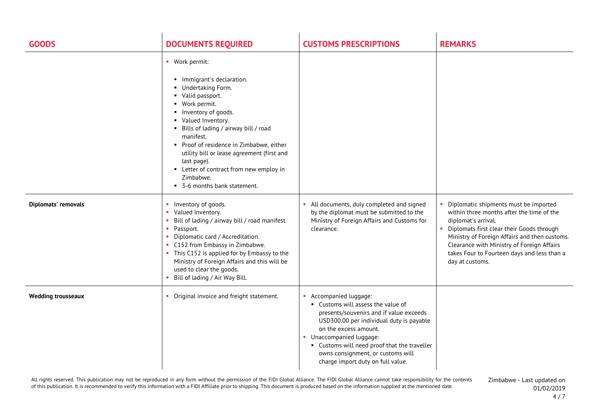| <b>GOODS</b>              | <b>DOCUMENTS REQUIRED</b>                                                                                                                                                                                                                                                                                                                                                                                      | <b>CUSTOMS PRESCRIPTIONS</b>                                                                                                                                                                                                                                                                                                       | <b>REMARKS</b>                                                                                                                                                                                                                                                                                                            |
|---------------------------|----------------------------------------------------------------------------------------------------------------------------------------------------------------------------------------------------------------------------------------------------------------------------------------------------------------------------------------------------------------------------------------------------------------|------------------------------------------------------------------------------------------------------------------------------------------------------------------------------------------------------------------------------------------------------------------------------------------------------------------------------------|---------------------------------------------------------------------------------------------------------------------------------------------------------------------------------------------------------------------------------------------------------------------------------------------------------------------------|
|                           | • Work permit:<br>• Immigrant's declaration.<br>Undertaking Form.<br>• Valid passport.<br>• Work permit.<br>Inventory of goods.<br>• Valued Inventory.<br>• Bills of lading / airway bill / road<br>manifest.<br>• Proof of residence in Zimbabwe, either<br>utility bill or lease agreement (first and<br>last page).<br>• Letter of contract from new employ in<br>Zimbabwe.<br>• 3-6 months bank statement. |                                                                                                                                                                                                                                                                                                                                    |                                                                                                                                                                                                                                                                                                                           |
| Diplomats' removals       | Inventory of goods.<br>Valued Inventory.<br>Bill of lading / airway bill / road manifest.<br>• Passport.<br>Diplomatic card / Accreditation.<br>• C152 from Embassy in Zimbabwe.<br>• This C152 is applied for by Embassy to the<br>Ministry of Foreign Affairs and this will be<br>used to clear the goods.<br>• Bill of lading / Air Way Bill.                                                               | All documents, duly completed and signed<br>by the diplomat must be submitted to the<br>Ministry of Foreign Affairs and Customs for<br>clearance.                                                                                                                                                                                  | Diplomatic shipments must be imported<br>within three months after the time of the<br>diplomat's arrival.<br>• Diplomats first clear their Goods through<br>Ministry of Foreign Affairs and then customs.<br>Clearance with Ministry of Foreign Affairs<br>takes Four to Fourteen days and less than a<br>day at customs. |
| <b>Wedding trousseaux</b> | • Original invoice and freight statement.                                                                                                                                                                                                                                                                                                                                                                      | • Accompanied luggage:<br>• Customs will assess the value of<br>presents/souvenirs and if value exceeds<br>USD300.00 per individual duty is payable<br>on the excess amount.<br>• Unaccompanied luggage:<br>• Customs will need proof that the traveller<br>owns consignment, or customs will<br>charge import duty on full value. |                                                                                                                                                                                                                                                                                                                           |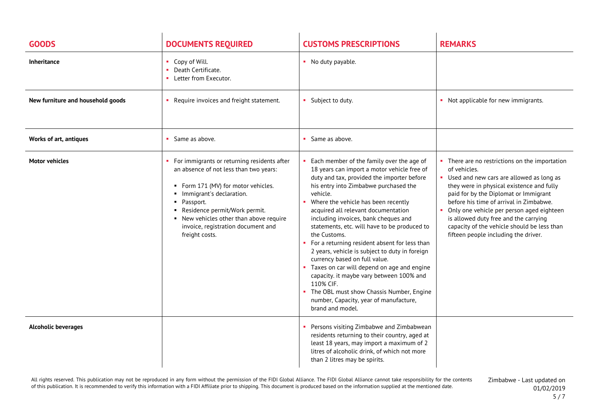| <b>GOODS</b>                      | <b>DOCUMENTS REQUIRED</b>                                                                                                                                                                                                                                                                                     | <b>CUSTOMS PRESCRIPTIONS</b>                                                                                                                                                                                                                                                                                                                                                                                                                                                                                                                                                                                                                                                                                                                   | <b>REMARKS</b>                                                                                                                                                                                                                                                                                                                                                                                                               |
|-----------------------------------|---------------------------------------------------------------------------------------------------------------------------------------------------------------------------------------------------------------------------------------------------------------------------------------------------------------|------------------------------------------------------------------------------------------------------------------------------------------------------------------------------------------------------------------------------------------------------------------------------------------------------------------------------------------------------------------------------------------------------------------------------------------------------------------------------------------------------------------------------------------------------------------------------------------------------------------------------------------------------------------------------------------------------------------------------------------------|------------------------------------------------------------------------------------------------------------------------------------------------------------------------------------------------------------------------------------------------------------------------------------------------------------------------------------------------------------------------------------------------------------------------------|
| <b>Inheritance</b>                | • Copy of Will.<br>Death Certificate.<br>Letter from Executor.                                                                                                                                                                                                                                                | • No duty payable.                                                                                                                                                                                                                                                                                                                                                                                                                                                                                                                                                                                                                                                                                                                             |                                                                                                                                                                                                                                                                                                                                                                                                                              |
| New furniture and household goods | Require invoices and freight statement.                                                                                                                                                                                                                                                                       | • Subject to duty.                                                                                                                                                                                                                                                                                                                                                                                                                                                                                                                                                                                                                                                                                                                             | • Not applicable for new immigrants.                                                                                                                                                                                                                                                                                                                                                                                         |
| <b>Works of art, antiques</b>     | • Same as above.                                                                                                                                                                                                                                                                                              | • Same as above.                                                                                                                                                                                                                                                                                                                                                                                                                                                                                                                                                                                                                                                                                                                               |                                                                                                                                                                                                                                                                                                                                                                                                                              |
| <b>Motor vehicles</b>             | • For immigrants or returning residents after<br>an absence of not less than two years:<br>• Form 171 (MV) for motor vehicles.<br>Immigrant's declaration.<br>· Passport.<br>Residence permit/Work permit.<br>• New vehicles other than above require<br>invoice, registration document and<br>freight costs. | • Each member of the family over the age of<br>18 years can import a motor vehicle free of<br>duty and tax, provided the importer before<br>his entry into Zimbabwe purchased the<br>vehicle.<br>Where the vehicle has been recently<br>acquired all relevant documentation<br>including invoices, bank cheques and<br>statements, etc. will have to be produced to<br>the Customs.<br>• For a returning resident absent for less than<br>2 years, vehicle is subject to duty in foreign<br>currency based on full value.<br>• Taxes on car will depend on age and engine<br>capacity. it maybe vary between 100% and<br>110% CIF.<br>• The OBL must show Chassis Number, Engine<br>number, Capacity, year of manufacture,<br>brand and model. | • There are no restrictions on the importation<br>of vehicles.<br>• Used and new cars are allowed as long as<br>they were in physical existence and fully<br>paid for by the Diplomat or Immigrant<br>before his time of arrival in Zimbabwe.<br>• Only one vehicle per person aged eighteen<br>is allowed duty free and the carrying<br>capacity of the vehicle should be less than<br>fifteen people including the driver. |
| <b>Alcoholic beverages</b>        |                                                                                                                                                                                                                                                                                                               | Persons visiting Zimbabwe and Zimbabwean<br>residents returning to their country, aged at<br>least 18 years, may import a maximum of 2<br>litres of alcoholic drink, of which not more<br>than 2 litres may be spirits.                                                                                                                                                                                                                                                                                                                                                                                                                                                                                                                        |                                                                                                                                                                                                                                                                                                                                                                                                                              |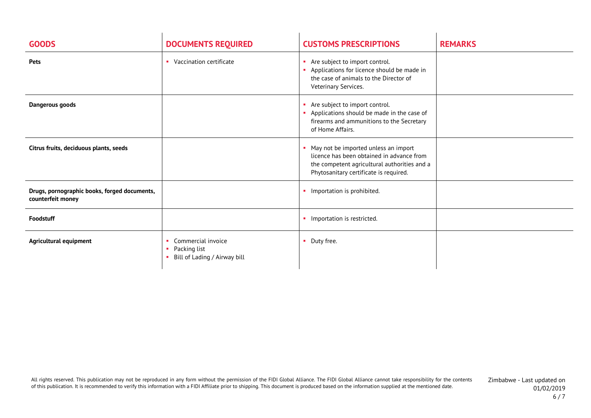| <b>GOODS</b>                                                      | <b>DOCUMENTS REQUIRED</b>                                          | <b>CUSTOMS PRESCRIPTIONS</b>                                                                                                                                                | <b>REMARKS</b> |
|-------------------------------------------------------------------|--------------------------------------------------------------------|-----------------------------------------------------------------------------------------------------------------------------------------------------------------------------|----------------|
| Pets                                                              | • Vaccination certificate                                          | Are subject to import control.<br>$\blacksquare$<br>Applications for licence should be made in<br>the case of animals to the Director of<br>Veterinary Services.            |                |
| Dangerous goods                                                   |                                                                    | Are subject to import control.<br>Applications should be made in the case of<br>firearms and ammunitions to the Secretary<br>of Home Affairs.                               |                |
| Citrus fruits, deciduous plants, seeds                            |                                                                    | May not be imported unless an import<br>licence has been obtained in advance from<br>the competent agricultural authorities and a<br>Phytosanitary certificate is required. |                |
| Drugs, pornographic books, forged documents,<br>counterfeit money |                                                                    | • Importation is prohibited.                                                                                                                                                |                |
| Foodstuff                                                         |                                                                    | Importation is restricted.<br>a.                                                                                                                                            |                |
| Agricultural equipment                                            | Commercial invoice<br>Packing list<br>Bill of Lading / Airway bill | Duty free.<br>٠                                                                                                                                                             |                |